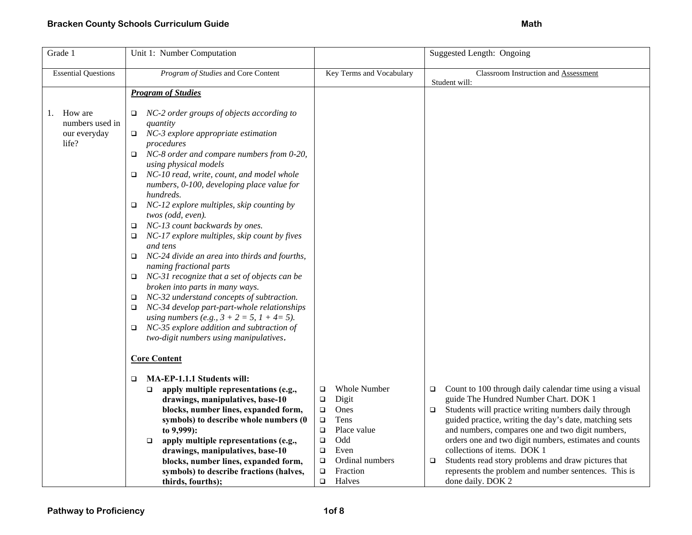| Unit 1: Number Computation                                                                                                                                                                                                                                                                                                                                                                                                                                                                                                                                                                                                                                                                                                                                                                                                                                                                                                                                                              |                                                                                                                                                                                                | Suggested Length: Ongoing                                                                                                                                                                                                                                                                                                                                                                                                                                                                                                         |
|-----------------------------------------------------------------------------------------------------------------------------------------------------------------------------------------------------------------------------------------------------------------------------------------------------------------------------------------------------------------------------------------------------------------------------------------------------------------------------------------------------------------------------------------------------------------------------------------------------------------------------------------------------------------------------------------------------------------------------------------------------------------------------------------------------------------------------------------------------------------------------------------------------------------------------------------------------------------------------------------|------------------------------------------------------------------------------------------------------------------------------------------------------------------------------------------------|-----------------------------------------------------------------------------------------------------------------------------------------------------------------------------------------------------------------------------------------------------------------------------------------------------------------------------------------------------------------------------------------------------------------------------------------------------------------------------------------------------------------------------------|
| Program of Studies and Core Content                                                                                                                                                                                                                                                                                                                                                                                                                                                                                                                                                                                                                                                                                                                                                                                                                                                                                                                                                     | Key Terms and Vocabulary                                                                                                                                                                       | <b>Classroom Instruction and Assessment</b>                                                                                                                                                                                                                                                                                                                                                                                                                                                                                       |
|                                                                                                                                                                                                                                                                                                                                                                                                                                                                                                                                                                                                                                                                                                                                                                                                                                                                                                                                                                                         |                                                                                                                                                                                                | Student will:                                                                                                                                                                                                                                                                                                                                                                                                                                                                                                                     |
|                                                                                                                                                                                                                                                                                                                                                                                                                                                                                                                                                                                                                                                                                                                                                                                                                                                                                                                                                                                         |                                                                                                                                                                                                |                                                                                                                                                                                                                                                                                                                                                                                                                                                                                                                                   |
| NC-2 order groups of objects according to<br>$\Box$<br>quantity<br>NC-3 explore appropriate estimation<br>$\Box$<br>procedures<br>NC-8 order and compare numbers from 0-20,<br>$\Box$<br>using physical models<br>NC-10 read, write, count, and model whole<br>$\Box$<br>numbers, 0-100, developing place value for<br>hundreds.<br>NC-12 explore multiples, skip counting by<br>$\Box$<br>twos (odd, even).<br>NC-13 count backwards by ones.<br>$\Box$<br>NC-17 explore multiples, skip count by fives<br>$\Box$<br>and tens<br>NC-24 divide an area into thirds and fourths,<br>$\Box$<br>naming fractional parts<br>NC-31 recognize that a set of objects can be<br>$\Box$<br>broken into parts in many ways.<br>NC-32 understand concepts of subtraction.<br>$\Box$<br>NC-34 develop part-part-whole relationships<br>$\Box$<br>using numbers (e.g., $3 + 2 = 5$ , $1 + 4 = 5$ ).<br>NC-35 explore addition and subtraction of<br>$\Box$<br>two-digit numbers using manipulatives. |                                                                                                                                                                                                |                                                                                                                                                                                                                                                                                                                                                                                                                                                                                                                                   |
| <b>Core Content</b>                                                                                                                                                                                                                                                                                                                                                                                                                                                                                                                                                                                                                                                                                                                                                                                                                                                                                                                                                                     |                                                                                                                                                                                                |                                                                                                                                                                                                                                                                                                                                                                                                                                                                                                                                   |
| MA-EP-1.1.1 Students will:<br>□<br>apply multiple representations (e.g.,<br>$\Box$<br>drawings, manipulatives, base-10<br>blocks, number lines, expanded form,<br>symbols) to describe whole numbers (0<br>to 9,999):<br>apply multiple representations (e.g.,<br>$\Box$<br>drawings, manipulatives, base-10<br>blocks, number lines, expanded form,<br>symbols) to describe fractions (halves,                                                                                                                                                                                                                                                                                                                                                                                                                                                                                                                                                                                         | <b>Whole Number</b><br>$\Box$<br>Digit<br>$\Box$<br>$\Box$<br>Ones<br>Tens<br>$\Box$<br>Place value<br>$\Box$<br>Odd<br>$\Box$<br>Even<br>$\Box$<br>Ordinal numbers<br>$\Box$<br>Fraction<br>□ | Count to 100 through daily calendar time using a visual<br>$\Box$<br>guide The Hundred Number Chart. DOK 1<br>Students will practice writing numbers daily through<br>$\Box$<br>guided practice, writing the day's date, matching sets<br>and numbers, compares one and two digit numbers,<br>orders one and two digit numbers, estimates and counts<br>collections of items. DOK 1<br>Students read story problems and draw pictures that<br>$\Box$<br>represents the problem and number sentences. This is<br>done daily. DOK 2 |
|                                                                                                                                                                                                                                                                                                                                                                                                                                                                                                                                                                                                                                                                                                                                                                                                                                                                                                                                                                                         | <b>Program of Studies</b><br>thirds, fourths);                                                                                                                                                 | Halves<br>$\Box$                                                                                                                                                                                                                                                                                                                                                                                                                                                                                                                  |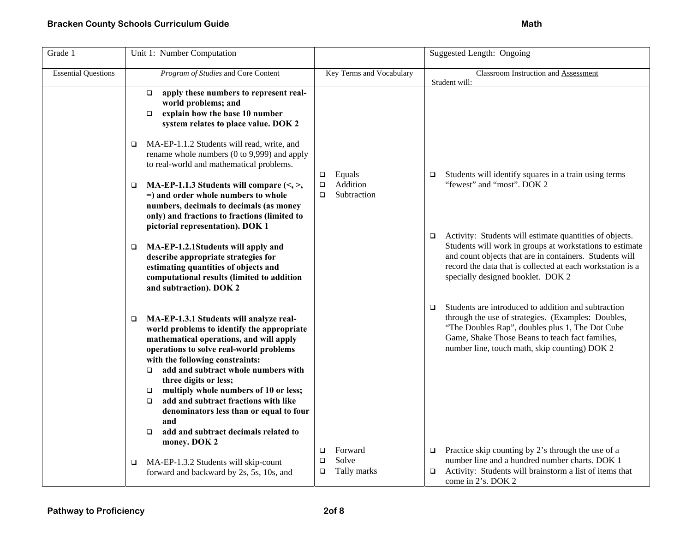| Grade 1                    | Unit 1: Number Computation                                                                                                                                                                                                                                                                                                                                                                                                                                                                             |                                                          | Suggested Length: Ongoing                                                                                                                                                                                                                                                                   |
|----------------------------|--------------------------------------------------------------------------------------------------------------------------------------------------------------------------------------------------------------------------------------------------------------------------------------------------------------------------------------------------------------------------------------------------------------------------------------------------------------------------------------------------------|----------------------------------------------------------|---------------------------------------------------------------------------------------------------------------------------------------------------------------------------------------------------------------------------------------------------------------------------------------------|
| <b>Essential Questions</b> | Program of Studies and Core Content                                                                                                                                                                                                                                                                                                                                                                                                                                                                    | Key Terms and Vocabulary                                 | Classroom Instruction and Assessment<br>Student will:                                                                                                                                                                                                                                       |
|                            | apply these numbers to represent real-<br>$\Box$<br>world problems; and<br>explain how the base 10 number<br>$\Box$<br>system relates to place value. DOK 2                                                                                                                                                                                                                                                                                                                                            |                                                          |                                                                                                                                                                                                                                                                                             |
|                            | MA-EP-1.1.2 Students will read, write, and<br>rename whole numbers (0 to 9,999) and apply<br>to real-world and mathematical problems.                                                                                                                                                                                                                                                                                                                                                                  | Equals<br>$\Box$                                         | Students will identify squares in a train using terms<br>$\Box$                                                                                                                                                                                                                             |
|                            | MA-EP-1.1.3 Students will compare $\langle \leq, > \rangle$<br>$\Box$<br>=) and order whole numbers to whole<br>numbers, decimals to decimals (as money<br>only) and fractions to fractions (limited to<br>pictorial representation). DOK 1                                                                                                                                                                                                                                                            | Addition<br>$\Box$<br>Subtraction<br>$\Box$              | "fewest" and "most". DOK 2                                                                                                                                                                                                                                                                  |
|                            | MA-EP-1.2.1Students will apply and<br>$\Box$<br>describe appropriate strategies for<br>estimating quantities of objects and<br>computational results (limited to addition<br>and subtraction). DOK 2                                                                                                                                                                                                                                                                                                   |                                                          | Activity: Students will estimate quantities of objects.<br>$\Box$<br>Students will work in groups at workstations to estimate<br>and count objects that are in containers. Students will<br>record the data that is collected at each workstation is a<br>specially designed booklet. DOK 2 |
|                            | MA-EP-1.3.1 Students will analyze real-<br>$\Box$<br>world problems to identify the appropriate<br>mathematical operations, and will apply<br>operations to solve real-world problems<br>with the following constraints:<br>add and subtract whole numbers with<br>$\Box$<br>three digits or less;<br>multiply whole numbers of 10 or less;<br>□<br>add and subtract fractions with like<br>$\Box$<br>denominators less than or equal to four<br>and<br>add and subtract decimals related to<br>$\Box$ |                                                          | Students are introduced to addition and subtraction<br>$\Box$<br>through the use of strategies. (Examples: Doubles,<br>"The Doubles Rap", doubles plus 1, The Dot Cube<br>Game, Shake Those Beans to teach fact families,<br>number line, touch math, skip counting) DOK 2                  |
|                            | money. DOK 2<br>MA-EP-1.3.2 Students will skip-count<br>$\Box$<br>forward and backward by 2s, 5s, 10s, and                                                                                                                                                                                                                                                                                                                                                                                             | Forward<br>$\Box$<br>Solve<br>□<br>Tally marks<br>$\Box$ | Practice skip counting by 2's through the use of a<br>$\Box$<br>number line and a hundred number charts. DOK 1<br>Activity: Students will brainstorm a list of items that<br>$\Box$<br>come in 2's. DOK 2                                                                                   |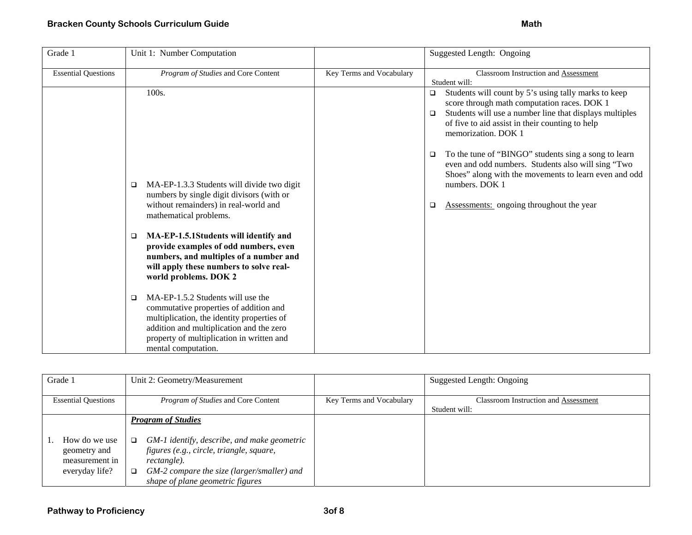| Grade 1                    | Unit 1: Number Computation                                                                                                                                                                                                                     |                          | Suggested Length: Ongoing                                                                                                                                                                                                                                    |
|----------------------------|------------------------------------------------------------------------------------------------------------------------------------------------------------------------------------------------------------------------------------------------|--------------------------|--------------------------------------------------------------------------------------------------------------------------------------------------------------------------------------------------------------------------------------------------------------|
| <b>Essential Questions</b> | Program of Studies and Core Content                                                                                                                                                                                                            | Key Terms and Vocabulary | Classroom Instruction and Assessment<br>Student will:                                                                                                                                                                                                        |
|                            | 100s.                                                                                                                                                                                                                                          |                          | Students will count by 5's using tally marks to keep<br>$\Box$<br>score through math computation races. DOK 1<br>Students will use a number line that displays multiples<br>$\Box$<br>of five to aid assist in their counting to help<br>memorization. DOK 1 |
|                            |                                                                                                                                                                                                                                                |                          | To the tune of "BINGO" students sing a song to learn<br>$\Box$<br>even and odd numbers. Students also will sing "Two<br>Shoes" along with the movements to learn even and odd                                                                                |
|                            | MA-EP-1.3.3 Students will divide two digit<br>□<br>numbers by single digit divisors (with or<br>without remainders) in real-world and<br>mathematical problems.                                                                                |                          | numbers. DOK 1<br><b>Assessments:</b> ongoing throughout the year<br>$\Box$                                                                                                                                                                                  |
|                            | MA-EP-1.5.1Students will identify and<br>□<br>provide examples of odd numbers, even<br>numbers, and multiples of a number and<br>will apply these numbers to solve real-<br>world problems. DOK 2                                              |                          |                                                                                                                                                                                                                                                              |
|                            | MA-EP-1.5.2 Students will use the<br>□<br>commutative properties of addition and<br>multiplication, the identity properties of<br>addition and multiplication and the zero<br>property of multiplication in written and<br>mental computation. |                          |                                                                                                                                                                                                                                                              |

| Grade 1                                                           | Unit 2: Geometry/Measurement                                                                                                                                                                                               |                          | Suggested Length: Ongoing                             |
|-------------------------------------------------------------------|----------------------------------------------------------------------------------------------------------------------------------------------------------------------------------------------------------------------------|--------------------------|-------------------------------------------------------|
| <b>Essential Questions</b>                                        | <i>Program of Studies</i> and Core Content                                                                                                                                                                                 | Key Terms and Vocabulary | Classroom Instruction and Assessment<br>Student will: |
| How do we use<br>geometry and<br>measurement in<br>everyday life? | <b>Program of Studies</b><br>GM-1 identify, describe, and make geometric<br>□<br>figures (e.g., circle, triangle, square,<br>rectangle).<br>GM-2 compare the size (larger/smaller) and<br>shape of plane geometric figures |                          |                                                       |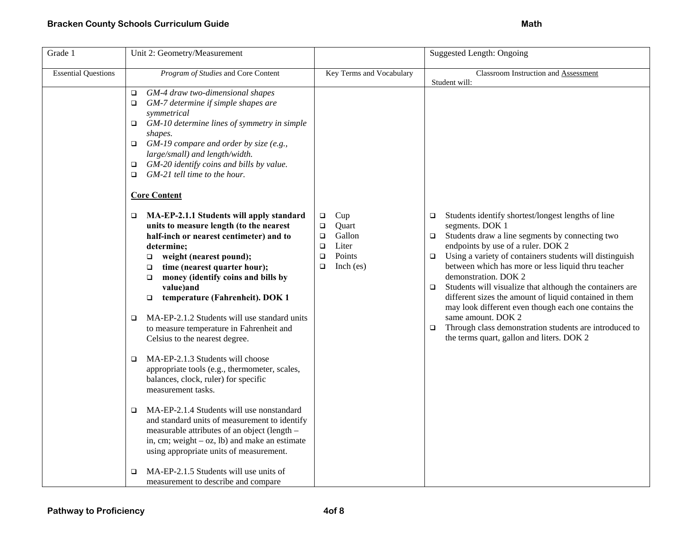| Grade 1                    | Unit 2: Geometry/Measurement                                                                                                                                                                                                                                                                                                                                                                                                                                                                                                                                                      |                                                                                                            | <b>Suggested Length: Ongoing</b>                                                                                                                                                                                                                                                                                                                                                                                                                                                                                                                                                                                                                                     |
|----------------------------|-----------------------------------------------------------------------------------------------------------------------------------------------------------------------------------------------------------------------------------------------------------------------------------------------------------------------------------------------------------------------------------------------------------------------------------------------------------------------------------------------------------------------------------------------------------------------------------|------------------------------------------------------------------------------------------------------------|----------------------------------------------------------------------------------------------------------------------------------------------------------------------------------------------------------------------------------------------------------------------------------------------------------------------------------------------------------------------------------------------------------------------------------------------------------------------------------------------------------------------------------------------------------------------------------------------------------------------------------------------------------------------|
| <b>Essential Questions</b> | Program of Studies and Core Content                                                                                                                                                                                                                                                                                                                                                                                                                                                                                                                                               | Key Terms and Vocabulary                                                                                   | Classroom Instruction and Assessment<br>Student will:                                                                                                                                                                                                                                                                                                                                                                                                                                                                                                                                                                                                                |
|                            | GM-4 draw two-dimensional shapes<br>$\Box$<br>GM-7 determine if simple shapes are<br>$\Box$<br>symmetrical<br>GM-10 determine lines of symmetry in simple<br>$\Box$<br>shapes.<br>GM-19 compare and order by size (e.g.,<br>$\Box$<br>large/small) and length/width.<br>GM-20 identify coins and bills by value.<br>$\Box$<br>GM-21 tell time to the hour.<br>$\Box$                                                                                                                                                                                                              |                                                                                                            |                                                                                                                                                                                                                                                                                                                                                                                                                                                                                                                                                                                                                                                                      |
|                            | <b>Core Content</b>                                                                                                                                                                                                                                                                                                                                                                                                                                                                                                                                                               |                                                                                                            |                                                                                                                                                                                                                                                                                                                                                                                                                                                                                                                                                                                                                                                                      |
|                            | MA-EP-2.1.1 Students will apply standard<br>$\Box$<br>units to measure length (to the nearest<br>half-inch or nearest centimeter) and to<br>determine;<br>weight (nearest pound);<br>$\Box$<br>time (nearest quarter hour);<br>□<br>money (identify coins and bills by<br>$\Box$<br>value)and<br>temperature (Fahrenheit). DOK 1<br>$\Box$<br>MA-EP-2.1.2 Students will use standard units<br>$\Box$<br>to measure temperature in Fahrenheit and<br>Celsius to the nearest degree.<br>MA-EP-2.1.3 Students will choose<br>$\Box$<br>appropriate tools (e.g., thermometer, scales, | Cup<br>$\Box$<br>Quart<br>□<br>Gallon<br>□<br>Liter<br>$\Box$<br>Points<br>$\Box$<br>Inch $(es)$<br>$\Box$ | Students identify shortest/longest lengths of line<br>$\Box$<br>segments. DOK 1<br>Students draw a line segments by connecting two<br>$\Box$<br>endpoints by use of a ruler. DOK 2<br>Using a variety of containers students will distinguish<br>$\Box$<br>between which has more or less liquid thru teacher<br>demonstration. DOK 2<br>Students will visualize that although the containers are<br>$\Box$<br>different sizes the amount of liquid contained in them<br>may look different even though each one contains the<br>same amount. DOK 2<br>Through class demonstration students are introduced to<br>$\Box$<br>the terms quart, gallon and liters. DOK 2 |
|                            | balances, clock, ruler) for specific<br>measurement tasks.<br>MA-EP-2.1.4 Students will use nonstandard<br>$\Box$<br>and standard units of measurement to identify<br>measurable attributes of an object (length -<br>in, cm; weight $-$ oz, lb) and make an estimate<br>using appropriate units of measurement.                                                                                                                                                                                                                                                                  |                                                                                                            |                                                                                                                                                                                                                                                                                                                                                                                                                                                                                                                                                                                                                                                                      |
|                            | MA-EP-2.1.5 Students will use units of<br>$\Box$<br>measurement to describe and compare                                                                                                                                                                                                                                                                                                                                                                                                                                                                                           |                                                                                                            |                                                                                                                                                                                                                                                                                                                                                                                                                                                                                                                                                                                                                                                                      |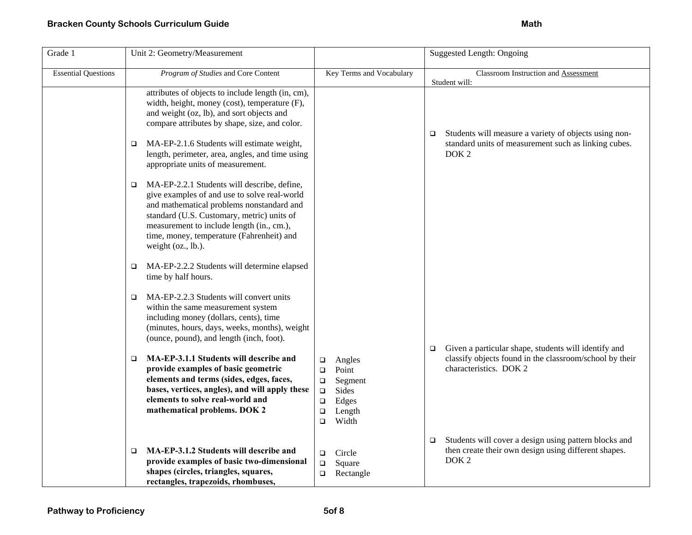| Grade 1                    | Unit 2: Geometry/Measurement                                                                                                                                                                                                                                                                                |                                                                                                                             | <b>Suggested Length: Ongoing</b>                                                                                                                    |
|----------------------------|-------------------------------------------------------------------------------------------------------------------------------------------------------------------------------------------------------------------------------------------------------------------------------------------------------------|-----------------------------------------------------------------------------------------------------------------------------|-----------------------------------------------------------------------------------------------------------------------------------------------------|
| <b>Essential Questions</b> | Program of Studies and Core Content                                                                                                                                                                                                                                                                         | Key Terms and Vocabulary                                                                                                    | Classroom Instruction and Assessment<br>Student will:                                                                                               |
|                            | attributes of objects to include length (in, cm),<br>width, height, money (cost), temperature (F),<br>and weight (oz, lb), and sort objects and<br>compare attributes by shape, size, and color.<br>MA-EP-2.1.6 Students will estimate weight,<br>$\Box$                                                    |                                                                                                                             | Students will measure a variety of objects using non-<br>$\Box$<br>standard units of measurement such as linking cubes.                             |
|                            | length, perimeter, area, angles, and time using<br>appropriate units of measurement.                                                                                                                                                                                                                        |                                                                                                                             | DOK <sub>2</sub>                                                                                                                                    |
|                            | MA-EP-2.2.1 Students will describe, define,<br>□<br>give examples of and use to solve real-world<br>and mathematical problems nonstandard and<br>standard (U.S. Customary, metric) units of<br>measurement to include length (in., cm.),<br>time, money, temperature (Fahrenheit) and<br>weight (oz., lb.). |                                                                                                                             |                                                                                                                                                     |
|                            | MA-EP-2.2.2 Students will determine elapsed<br>$\Box$<br>time by half hours.                                                                                                                                                                                                                                |                                                                                                                             |                                                                                                                                                     |
|                            | MA-EP-2.2.3 Students will convert units<br>$\Box$<br>within the same measurement system<br>including money (dollars, cents), time<br>(minutes, hours, days, weeks, months), weight<br>(ounce, pound), and length (inch, foot).                                                                              |                                                                                                                             |                                                                                                                                                     |
|                            | MA-EP-3.1.1 Students will describe and<br>$\Box$<br>provide examples of basic geometric<br>elements and terms (sides, edges, faces,<br>bases, vertices, angles), and will apply these<br>elements to solve real-world and<br>mathematical problems. DOK 2                                                   | Angles<br>о<br>Point<br>□<br>Segment<br>$\Box$<br>Sides<br>$\Box$<br>$\Box$<br>Edges<br>Length<br>$\Box$<br>Width<br>$\Box$ | Given a particular shape, students will identify and<br>$\Box$<br>classify objects found in the classroom/school by their<br>characteristics. DOK 2 |
|                            | MA-EP-3.1.2 Students will describe and<br>□<br>provide examples of basic two-dimensional<br>shapes (circles, triangles, squares,<br>rectangles, trapezoids, rhombuses,                                                                                                                                      | $\Box$<br>Circle<br>Square<br>$\Box$<br>Rectangle<br>$\Box$                                                                 | Students will cover a design using pattern blocks and<br>□<br>then create their own design using different shapes.<br>DOK <sub>2</sub>              |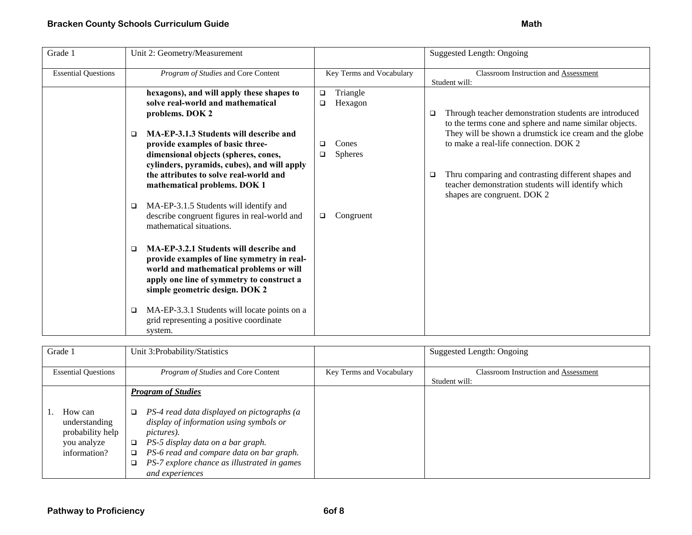| Grade 1                    | Unit 2: Geometry/Measurement                                                                                                                                                                                        |                                    | Suggested Length: Ongoing                                                                                                                     |
|----------------------------|---------------------------------------------------------------------------------------------------------------------------------------------------------------------------------------------------------------------|------------------------------------|-----------------------------------------------------------------------------------------------------------------------------------------------|
| <b>Essential Questions</b> | Program of Studies and Core Content                                                                                                                                                                                 | Key Terms and Vocabulary           | Classroom Instruction and Assessment<br>Student will:                                                                                         |
|                            | hexagons), and will apply these shapes to<br>solve real-world and mathematical<br>problems. DOK 2                                                                                                                   | Triangle<br>$\Box$<br>Hexagon<br>□ | Through teacher demonstration students are introduced<br>O.<br>to the terms cone and sphere and name similar objects.                         |
|                            | MA-EP-3.1.3 Students will describe and<br>□<br>provide examples of basic three-<br>dimensional objects (spheres, cones,<br>cylinders, pyramids, cubes), and will apply                                              | Cones<br>□<br><b>Spheres</b><br>□  | They will be shown a drumstick ice cream and the globe<br>to make a real-life connection. DOK 2                                               |
|                            | the attributes to solve real-world and<br>mathematical problems. DOK 1                                                                                                                                              |                                    | Thru comparing and contrasting different shapes and<br>□<br>teacher demonstration students will identify which<br>shapes are congruent. DOK 2 |
|                            | MA-EP-3.1.5 Students will identify and<br>□<br>describe congruent figures in real-world and<br>mathematical situations.                                                                                             | Congruent<br>$\Box$                |                                                                                                                                               |
|                            | MA-EP-3.2.1 Students will describe and<br>□<br>provide examples of line symmetry in real-<br>world and mathematical problems or will<br>apply one line of symmetry to construct a<br>simple geometric design. DOK 2 |                                    |                                                                                                                                               |
|                            | MA-EP-3.3.1 Students will locate points on a<br>❏<br>grid representing a positive coordinate<br>system.                                                                                                             |                                    |                                                                                                                                               |

| Grade 1                                                                     | Unit 3:Probability/Statistics                                                                                                                                                                                                                                                           |                          | Suggested Length: Ongoing                   |
|-----------------------------------------------------------------------------|-----------------------------------------------------------------------------------------------------------------------------------------------------------------------------------------------------------------------------------------------------------------------------------------|--------------------------|---------------------------------------------|
| <b>Essential Questions</b>                                                  | <i>Program of Studies</i> and Core Content                                                                                                                                                                                                                                              | Key Terms and Vocabulary | <b>Classroom Instruction and Assessment</b> |
|                                                                             |                                                                                                                                                                                                                                                                                         |                          | Student will:                               |
|                                                                             | <b>Program of Studies</b>                                                                                                                                                                                                                                                               |                          |                                             |
|                                                                             |                                                                                                                                                                                                                                                                                         |                          |                                             |
| How can<br>understanding<br>probability help<br>you analyze<br>information? | PS-4 read data displayed on pictographs (a<br>❏<br>display of information using symbols or<br><i>pictures</i> ).<br>PS-5 display data on a bar graph.<br>$\Box$<br>PS-6 read and compare data on bar graph.<br>□<br>PS-7 explore chance as illustrated in games<br>□<br>and experiences |                          |                                             |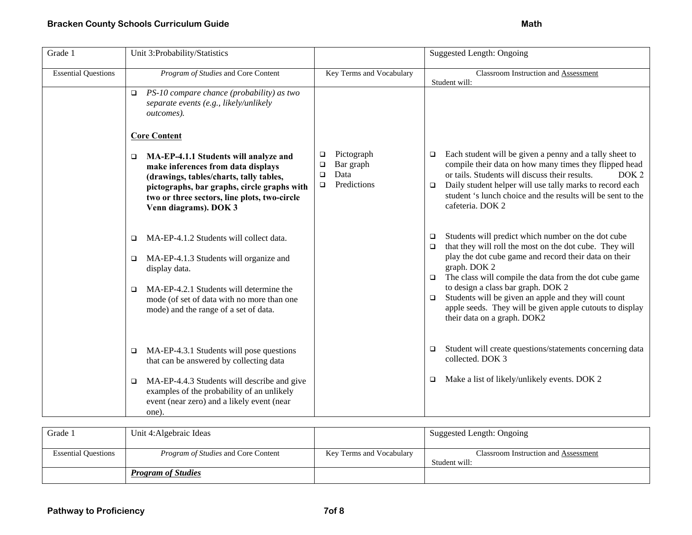| Grade 1                    | Unit 3:Probability/Statistics                                                                                                                                                                                                                            |                                                                                   | <b>Suggested Length: Ongoing</b>                                                                                                                                                                                                                                                                                                                                                                                                                                                 |
|----------------------------|----------------------------------------------------------------------------------------------------------------------------------------------------------------------------------------------------------------------------------------------------------|-----------------------------------------------------------------------------------|----------------------------------------------------------------------------------------------------------------------------------------------------------------------------------------------------------------------------------------------------------------------------------------------------------------------------------------------------------------------------------------------------------------------------------------------------------------------------------|
| <b>Essential Questions</b> | Program of Studies and Core Content                                                                                                                                                                                                                      | Key Terms and Vocabulary                                                          | <b>Classroom Instruction and Assessment</b><br>Student will:                                                                                                                                                                                                                                                                                                                                                                                                                     |
|                            | PS-10 compare chance (probability) as two<br>$\Box$<br>separate events (e.g., likely/unlikely<br>outcomes).                                                                                                                                              |                                                                                   |                                                                                                                                                                                                                                                                                                                                                                                                                                                                                  |
|                            | <b>Core Content</b>                                                                                                                                                                                                                                      |                                                                                   |                                                                                                                                                                                                                                                                                                                                                                                                                                                                                  |
|                            | MA-EP-4.1.1 Students will analyze and<br>$\Box$<br>make inferences from data displays<br>(drawings, tables/charts, tally tables,<br>pictographs, bar graphs, circle graphs with<br>two or three sectors, line plots, two-circle<br>Venn diagrams). DOK 3 | Pictograph<br>$\Box$<br>Bar graph<br>□<br>Data<br>$\Box$<br>Predictions<br>$\Box$ | Each student will be given a penny and a tally sheet to<br>$\Box$<br>compile their data on how many times they flipped head<br>or tails. Students will discuss their results.<br>DOK <sub>2</sub><br>Daily student helper will use tally marks to record each<br>$\Box$<br>student 's lunch choice and the results will be sent to the<br>cafeteria. DOK 2                                                                                                                       |
|                            | MA-EP-4.1.2 Students will collect data.<br>□<br>MA-EP-4.1.3 Students will organize and<br>□<br>display data.<br>MA-EP-4.2.1 Students will determine the<br>□<br>mode (of set of data with no more than one<br>mode) and the range of a set of data.      |                                                                                   | Students will predict which number on the dot cube<br>$\Box$<br>that they will roll the most on the dot cube. They will<br>$\Box$<br>play the dot cube game and record their data on their<br>graph. DOK 2<br>The class will compile the data from the dot cube game<br>$\Box$<br>to design a class bar graph. DOK 2<br>Students will be given an apple and they will count<br>$\Box$<br>apple seeds. They will be given apple cutouts to display<br>their data on a graph. DOK2 |
|                            | MA-EP-4.3.1 Students will pose questions<br>□<br>that can be answered by collecting data<br>MA-EP-4.4.3 Students will describe and give<br>□<br>examples of the probability of an unlikely<br>event (near zero) and a likely event (near                 |                                                                                   | Student will create questions/statements concerning data<br>$\Box$<br>collected. DOK 3<br>Make a list of likely/unlikely events. DOK 2<br>$\Box$                                                                                                                                                                                                                                                                                                                                 |

| Grade 1                    | Unit 4: Algebraic Ideas                    |                          | Suggested Length: Ongoing                             |
|----------------------------|--------------------------------------------|--------------------------|-------------------------------------------------------|
| <b>Essential Questions</b> | <i>Program of Studies</i> and Core Content | Key Terms and Vocabulary | Classroom Instruction and Assessment<br>Student will: |
|                            | <b>Program of Studies</b>                  |                          |                                                       |